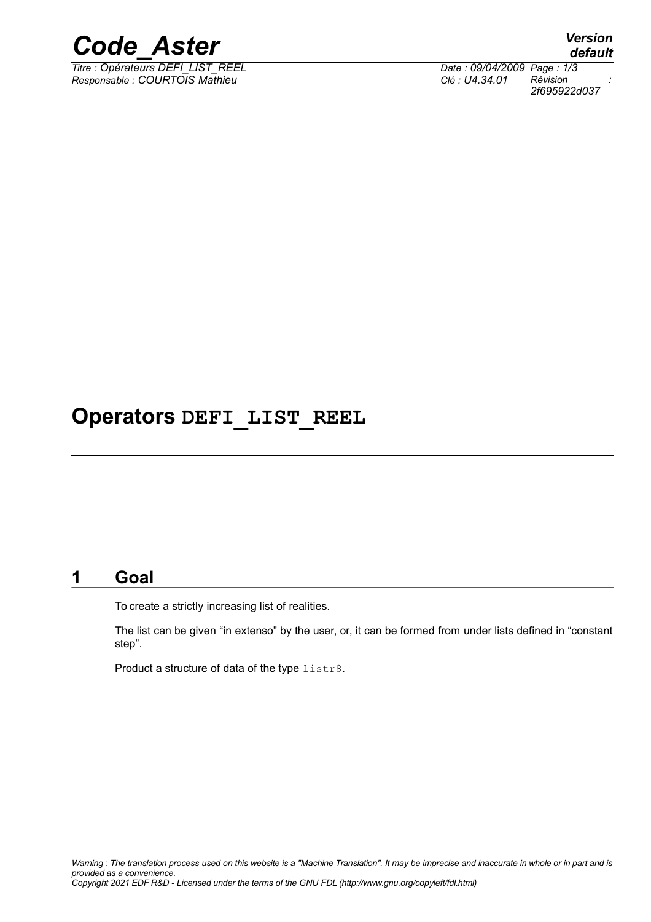

*Titre : Opérateurs DEFI\_LIST\_REEL Date : 09/04/2009 Page : 1/3 Responsable : COURTOIS Mathieu Clé : U4.34.01 Révision :*

*2f695922d037*

## **Operators DEFI\_LIST\_REEL**

## **1 Goal**

To create a strictly increasing list of realities.

The list can be given "in extenso" by the user, or, it can be formed from under lists defined in "constant step".

Product a structure of data of the type listr8.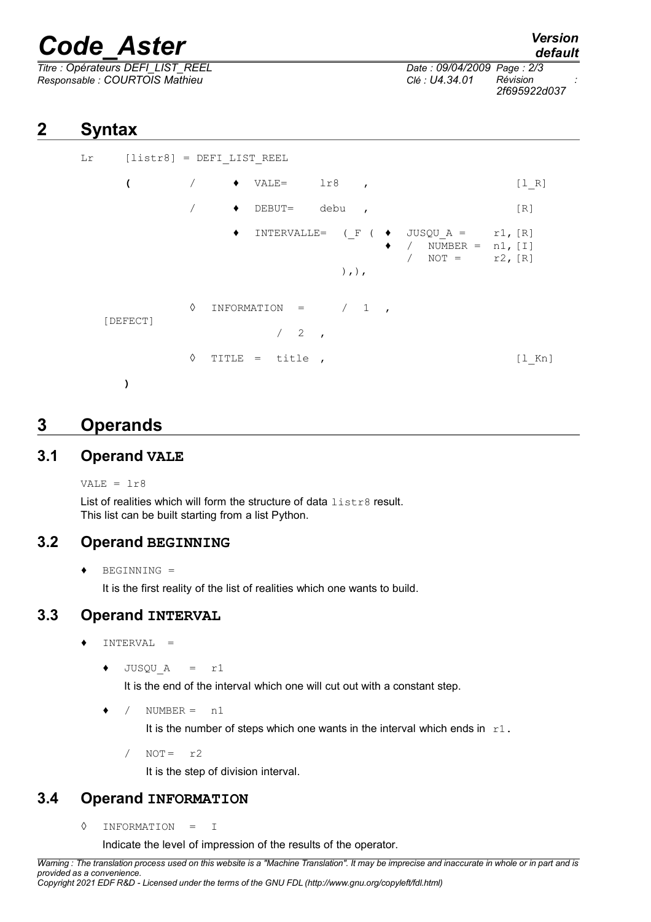# *Code\_Aster Version*

*Titre : Opérateurs DEFI\_LIST\_REEL Date : 09/04/2009 Page : 2/3 Responsable : COURTOIS Mathieu Clé : U4.34.01 Révision :*

*2f695922d037*

## **2 Syntax**

```
Lr [listr8] = DEFI_LIST_REEL
   ( / ♦ VALE= lr8 , [l_R]
          / ♦ DEBUT= debu , [R]
               \blacklozenge INTERVALLE= (F ( \blacklozenge JUSQU A = r1, [R]
                                  / NUMBER = n1, [I]\angle NOT = r2, [R]
                           ), ),
          \Diamond INFORMATION = / 1
[DEFECT]
                    /2◊ TITLE = title , [l_Kn]
  )
```
## **3 Operands**

#### **3.1 Operand VALE**

VALE =  $\ln 8$ 

List of realities which will form the structure of data listr8 result. This list can be built starting from a list Python.

#### **3.2 Operand BEGINNING**

♦ BEGINNING =

It is the first reality of the list of realities which one wants to build.

#### **3.3 Operand INTERVAL**

- $INTERVAL$  =
	- $\bullet$  JUSQU A = r1

It is the end of the interval which one will cut out with a constant step.

 $\frac{1}{2}$  NUMBER = n1

It is the number of steps which one wants in the interval which ends in  $r1$ .

 $/$  NOT =  $r2$ 

It is the step of division interval.

### **3.4 Operand INFORMATION**

◊ INFORMATION = I

Indicate the level of impression of the results of the operator.

*Warning : The translation process used on this website is a "Machine Translation". It may be imprecise and inaccurate in whole or in part and is provided as a convenience. Copyright 2021 EDF R&D - Licensed under the terms of the GNU FDL (http://www.gnu.org/copyleft/fdl.html)*